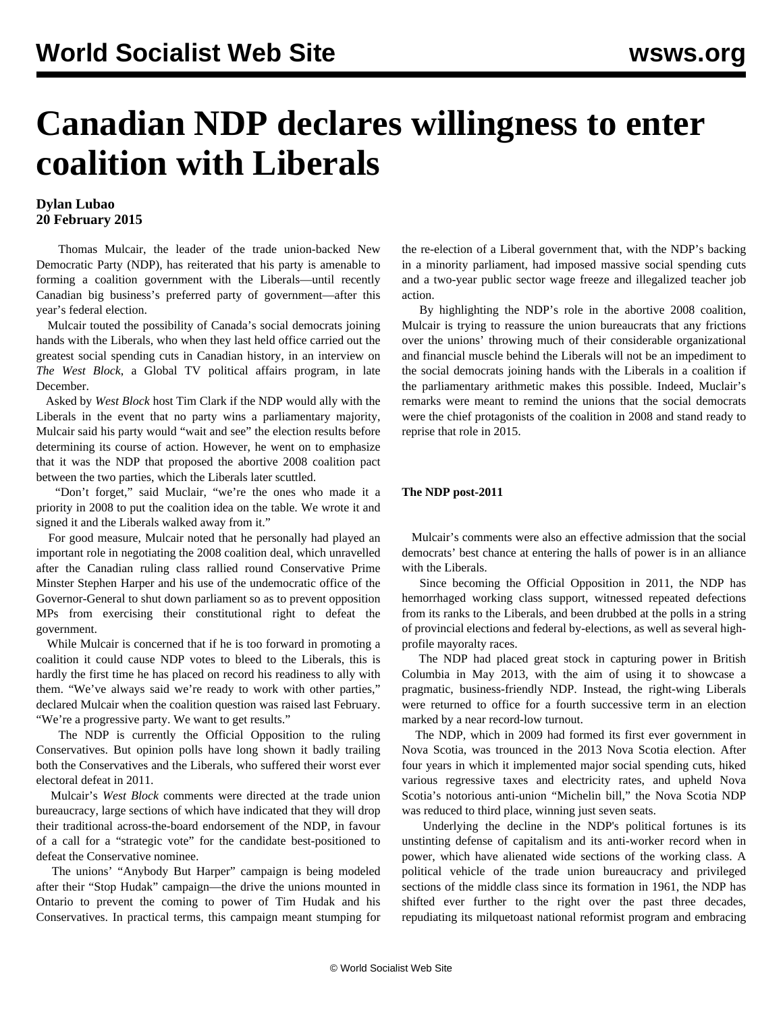# **Canadian NDP declares willingness to enter coalition with Liberals**

### **Dylan Lubao 20 February 2015**

 Thomas Mulcair, the leader of the trade union-backed New Democratic Party (NDP), has reiterated that his party is amenable to forming a coalition government with the Liberals—until recently Canadian big business's preferred party of government—after this year's federal election.

 Mulcair touted the possibility of Canada's social democrats joining hands with the Liberals, who when they last held office carried out the greatest social spending cuts in Canadian history, in an interview on *The West Block*, a Global TV political affairs program, in late December.

 Asked by *West Block* host Tim Clark if the NDP would ally with the Liberals in the event that no party wins a parliamentary majority, Mulcair said his party would "wait and see" the election results before determining its course of action. However, he went on to emphasize that it was the NDP that proposed the abortive 2008 coalition pact between the two parties, which the Liberals later scuttled.

 "Don't forget," said Muclair, "we're the ones who made it a priority in 2008 to put the coalition idea on the table. We wrote it and signed it and the Liberals walked away from it."

 For good measure, Mulcair noted that he personally had played an important role in negotiating the 2008 coalition deal, which unravelled after the Canadian ruling class rallied round Conservative Prime Minster Stephen Harper and his use of the undemocratic office of the Governor-General to shut down parliament so as to prevent opposition MPs from exercising their constitutional right to defeat the government.

 While Mulcair is concerned that if he is too forward in promoting a coalition it could cause NDP votes to bleed to the Liberals, this is hardly the first time he has placed on record his readiness to ally with them. "We've always said we're ready to work with other parties," declared Mulcair when the coalition question was raised last February. "We're a progressive party. We want to get results."

 The NDP is currently the Official Opposition to the ruling Conservatives. But opinion polls have long shown it badly trailing both the Conservatives and the Liberals, who suffered their worst ever electoral defeat in 2011.

 Mulcair's *West Block* comments were directed at the trade union bureaucracy, large sections of which have indicated that they will drop their traditional across-the-board endorsement of the NDP, in favour of a call for a "strategic vote" for the candidate best-positioned to defeat the Conservative nominee.

 The unions' "Anybody But Harper" campaign is being modeled after their "Stop Hudak" campaign—the drive the unions mounted in Ontario to prevent the coming to power of Tim Hudak and his Conservatives. In practical terms, this campaign meant stumping for the re-election of a Liberal government that, with the NDP's backing in a minority parliament, had imposed massive social spending cuts and a two-year public sector wage freeze and illegalized teacher job action.

 By highlighting the NDP's role in the abortive 2008 coalition, Mulcair is trying to reassure the union bureaucrats that any frictions over the unions' throwing much of their considerable organizational and financial muscle behind the Liberals will not be an impediment to the social democrats joining hands with the Liberals in a coalition if the parliamentary arithmetic makes this possible. Indeed, Muclair's remarks were meant to remind the unions that the social democrats were the chief protagonists of the coalition in 2008 and stand ready to reprise that role in 2015.

#### **The NDP post-2011**

 Mulcair's comments were also an effective admission that the social democrats' best chance at entering the halls of power is in an alliance with the Liberals.

 Since becoming the Official Opposition in 2011, the NDP has hemorrhaged working class support, witnessed repeated defections from its ranks to the Liberals, and been drubbed at the polls in a string of provincial elections and federal by-elections, as well as several highprofile mayoralty races.

 The NDP had placed great stock in capturing power in British Columbia in May 2013, with the aim of using it to showcase a pragmatic, business-friendly NDP. Instead, the right-wing Liberals were returned to office for a fourth successive term in an election marked by a near record-low turnout.

 The NDP, which in 2009 had formed its first ever government in Nova Scotia, was trounced in the 2013 Nova Scotia election. After four years in which it implemented major social spending cuts, hiked various regressive taxes and electricity rates, and upheld Nova Scotia's notorious anti-union "Michelin bill," the Nova Scotia NDP was reduced to third place, winning just seven seats.

 Underlying the decline in the NDP's political fortunes is its unstinting defense of capitalism and its anti-worker record when in power, which have alienated wide sections of the working class. A political vehicle of the trade union bureaucracy and privileged sections of the middle class since its formation in 1961, the NDP has shifted ever further to the right over the past three decades, repudiating its milquetoast national reformist program and embracing